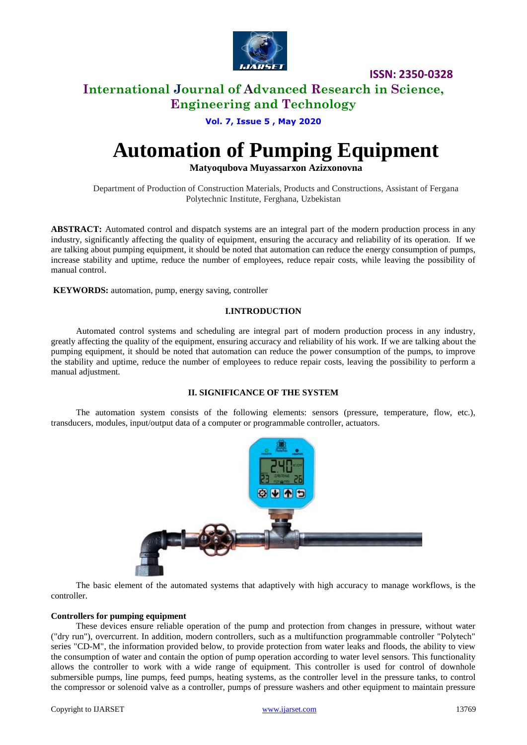

**ISSN: 2350-0328**

## **International Journal of Advanced Research in Science, Engineering and Technology**

### **Vol. 7, Issue 5 , May 2020**

# **Automation of Pumping Equipment**

**Matyoqubova Muyassarxon Azizxonovna**

Department of Production of Construction Materials, Products and Constructions, Assistant of Fergana Polytechnic Institute, Ferghana, Uzbekistan

**ABSTRACT:** Automated control and dispatch systems are an integral part of the modern production process in any industry, significantly affecting the quality of equipment, ensuring the accuracy and reliability of its operation. If we are talking about pumping equipment, it should be noted that automation can reduce the energy consumption of pumps, increase stability and uptime, reduce the number of employees, reduce repair costs, while leaving the possibility of manual control.

**KEYWORDS:** automation, pump, energy saving, controller

### **I.INTRODUCTION**

Automated control systems and scheduling are integral part of modern production process in any industry, greatly affecting the quality of the equipment, ensuring accuracy and reliability of his work. If we are talking about the pumping equipment, it should be noted that automation can reduce the power consumption of the pumps, to improve the stability and uptime, reduce the number of employees to reduce repair costs, leaving the possibility to perform a manual adjustment.

### **II. SIGNIFICANCE OF THE SYSTEM**

The automation system consists of the following elements: sensors (pressure, temperature, flow, etc.), transducers, modules, input/output data of a computer or programmable controller, actuators.



The basic element of the automated systems that adaptively with high accuracy to manage workflows, is the controller.

### **Controllers for pumping equipment**

These devices ensure reliable operation of the pump and protection from changes in pressure, without water ("dry run"), overcurrent. In addition, modern controllers, such as a multifunction programmable controller "Polytech" series "CD-M", the information provided below, to provide protection from water leaks and floods, the ability to view the consumption of water and contain the option of pump operation according to water level sensors. This functionality allows the controller to work with a wide range of equipment. This controller is used for control of downhole submersible pumps, line pumps, feed pumps, heating systems, as the controller level in the pressure tanks, to control the compressor or solenoid valve as a controller, pumps of pressure washers and other equipment to maintain pressure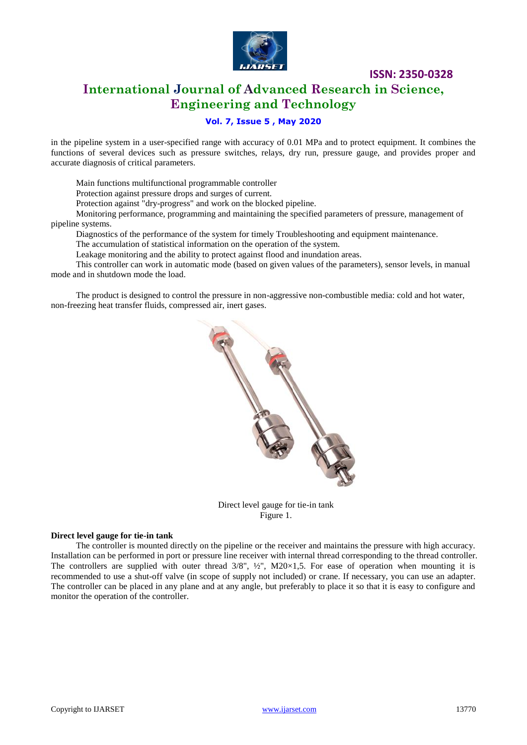

**ISSN: 2350-0328**

## **International Journal of Advanced Research in Science, Engineering and Technology**

### **Vol. 7, Issue 5 , May 2020**

in the pipeline system in a user-specified range with accuracy of 0.01 MPa and to protect equipment. It combines the functions of several devices such as pressure switches, relays, dry run, pressure gauge, and provides proper and accurate diagnosis of critical parameters.

Main functions multifunctional programmable controller

Protection against pressure drops and surges of current.

Protection against "dry-progress" and work on the blocked pipeline.

Monitoring performance, programming and maintaining the specified parameters of pressure, management of pipeline systems.

Diagnostics of the performance of the system for timely Troubleshooting and equipment maintenance.

The accumulation of statistical information on the operation of the system.

Leakage monitoring and the ability to protect against flood and inundation areas.

This controller can work in automatic mode (based on given values of the parameters), sensor levels, in manual mode and in shutdown mode the load.

The product is designed to control the pressure in non-aggressive non-combustible media: cold and hot water, non-freezing heat transfer fluids, compressed air, inert gases.



Direct level gauge for tie-in tank Figure 1.

### **Direct level gauge for tie-in tank**

The controller is mounted directly on the pipeline or the receiver and maintains the pressure with high accuracy. Installation can be performed in port or pressure line receiver with internal thread corresponding to the thread controller. The controllers are supplied with outer thread  $3/8$ ",  $\frac{1}{2}$ ", M20×1,5. For ease of operation when mounting it is recommended to use a shut-off valve (in scope of supply not included) or crane. If necessary, you can use an adapter. The controller can be placed in any plane and at any angle, but preferably to place it so that it is easy to configure and monitor the operation of the controller.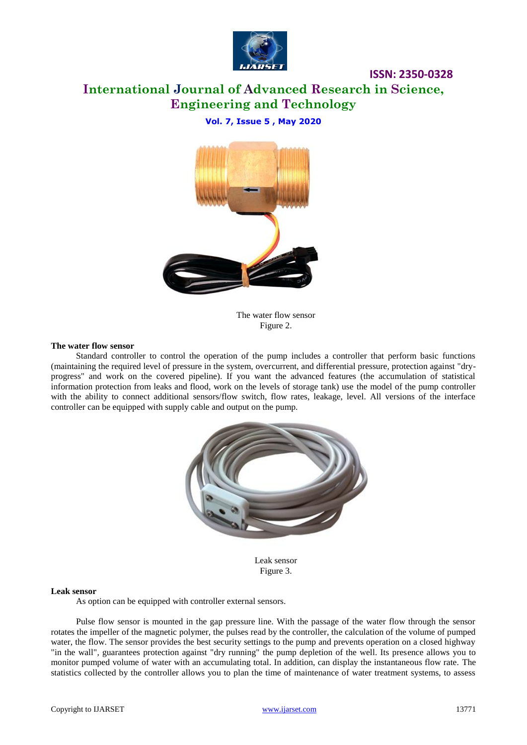

## **International Journal of Advanced Research in Science, Engineering and Technology**

**ISSN: 2350-0328**

### **Vol. 7, Issue 5 , May 2020**



The water flow sensor Figure 2.

### **The water flow sensor**

Standard controller to control the operation of the pump includes a controller that perform basic functions (maintaining the required level of pressure in the system, overcurrent, and differential pressure, protection against "dryprogress" and work on the covered pipeline). If you want the advanced features (the accumulation of statistical information protection from leaks and flood, work on the levels of storage tank) use the model of the pump controller with the ability to connect additional sensors/flow switch, flow rates, leakage, level. All versions of the interface controller can be equipped with supply cable and output on the pump.



Leak sensor Figure 3.

### **Leak sensor**

As option can be equipped with controller external sensors.

Pulse flow sensor is mounted in the gap pressure line. With the passage of the water flow through the sensor rotates the impeller of the magnetic polymer, the pulses read by the controller, the calculation of the volume of pumped water, the flow. The sensor provides the best security settings to the pump and prevents operation on a closed highway "in the wall", guarantees protection against "dry running" the pump depletion of the well. Its presence allows you to monitor pumped volume of water with an accumulating total. In addition, can display the instantaneous flow rate. The statistics collected by the controller allows you to plan the time of maintenance of water treatment systems, to assess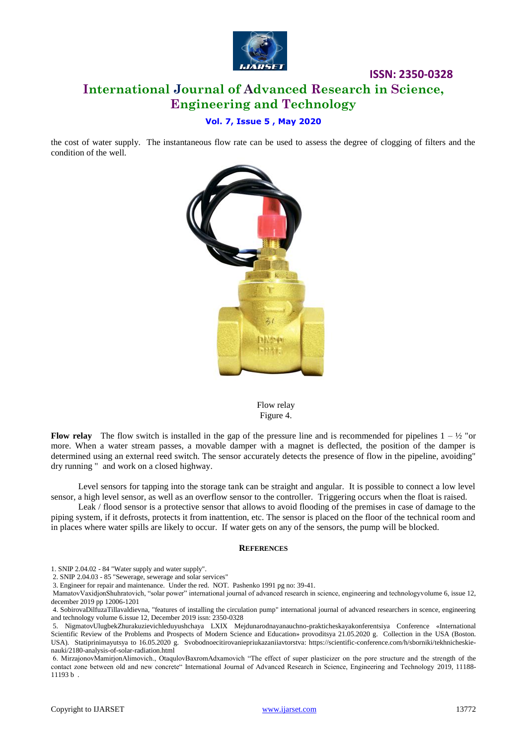

## **ISSN: 2350-0328 International Journal of Advanced Research in Science, Engineering and Technology**

### **Vol. 7, Issue 5 , May 2020**

the cost of water supply. The instantaneous flow rate can be used to assess the degree of clogging of filters and the condition of the well.



Flow relay Figure 4.

**Flow relay** The flow switch is installed in the gap of the pressure line and is recommended for pipelines  $1 - \frac{1}{2}$  or more. When a water stream passes, a movable damper with a magnet is deflected, the position of the damper is determined using an external reed switch. The sensor accurately detects the presence of flow in the pipeline, avoiding" dry running " and work on a closed highway.

Level sensors for tapping into the storage tank can be straight and angular. It is possible to connect a low level sensor, a high level sensor, as well as an overflow sensor to the controller. Triggering occurs when the float is raised.

Leak / flood sensor is a protective sensor that allows to avoid flooding of the premises in case of damage to the piping system, if it defrosts, protects it from inattention, etc. The sensor is placed on the floor of the technical room and in places where water spills are likely to occur. If water gets on any of the sensors, the pump will be blocked.

### **REFERENCES**

1. SNIP 2.04.02 - 84 "Water supply and water supply".

2. SNIP 2.04.03 - 85 "Sewerage, sewerage and solar services"

3. Engineer for repair and maintenance. Under the red. NOT. Pashenko 1991 pg no: 39-41.

MamatovVaxidjonShuhratovich, "solar power" international journal of advanced research in science, engineering and technologyvolume 6, issue 12, december 2019 pp 12006-1201

4. SobirovaDilfuzaTillavaldievna, "features of installing the circulation pump" international journal of advanced researchers in scence, engineering and technology volume 6.issue 12, December 2019 issn: 2350-0328

5. NigmatovUlugbekZhurakuzievichleduyushchaya LXIX Mejdunarodnayanauchno-prakticheskayakonferentsiya Conference «International Scientific Review of the Problems and Prospects of Modern Science and Education» provoditsya 21.05.2020 g. Collection in the USA (Boston. USA). Statiprinimayutsya to 16.05.2020 g. Svobodnoecitirovaniepriukazaniiavtorstva: https://scientific-conference.com/h/sborniki/tekhnicheskienauki/2180-analysis-of-solar-radiation.html

6. MirzajonovMamirjonAlimovich., OtaqulovBaxromAdxamovich "The effect of super plasticizer on the pore structure and the strength of the contact zone between old and new concrete" International Journal of Advanced Research in Science, Engineering and Technology 2019, 11188- 11193 b .